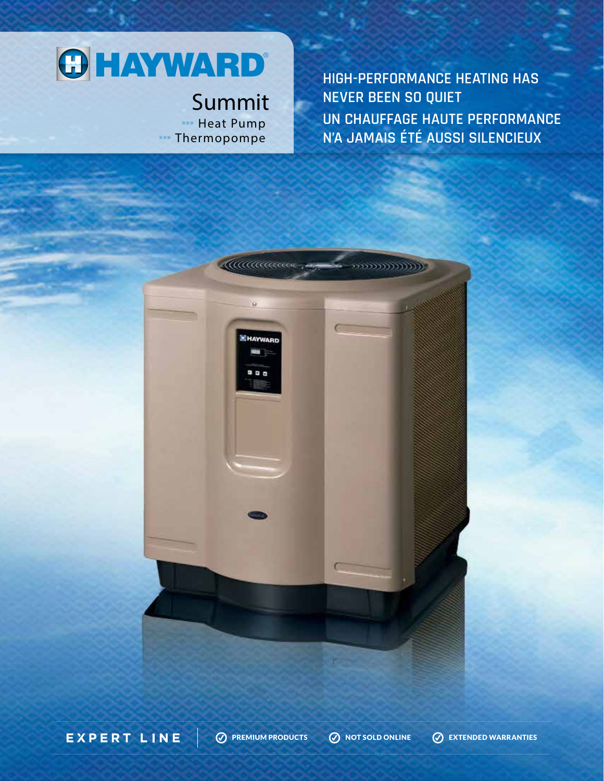## **OHAYWARD®**

## Summit **»»** Heat Pump »» Thermopompe

**HIGH-PERFORMANCE HEATING HAS** NEVER BEEN SO QUIET UN CHAUFFAGE HAUTE PERFORMANCE N'A JAMAIS ÉTÉ AUSSI SILENCIEUX



**EXPERT LINE** 

**O PREMIUM PRODUCTS** 

**O NOT SOLD ONLINE** 

**EXTENDED WARRANTIES**